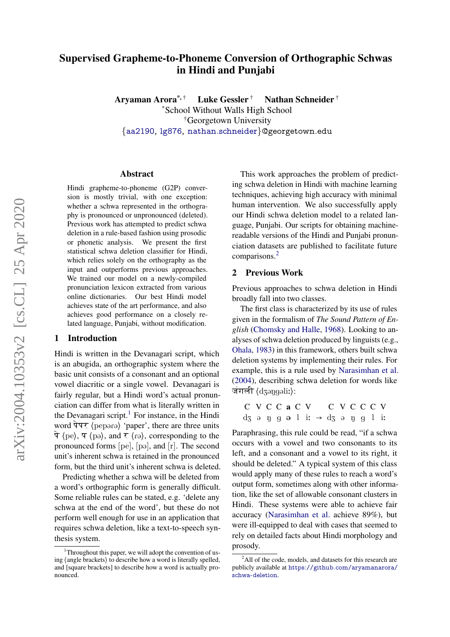# Supervised Grapheme-to-Phoneme Conversion of Orthographic Schwas in Hindi and Punjabi

Aryaman Arora<sup>\*,†</sup> Luke Gessler<sup>†</sup> Nathan Schneider<sup>†</sup> \*School Without Walls High School †Georgetown University {[aa2190,](mailto:aa2190@georgetown.edu) [lg876,](mailto:lg876@georgetown.edu) [nathan.schneider](mailto:nathan.schneider@georgetown.edu)}@georgetown.edu

#### Abstract

Hindi grapheme-to-phoneme (G2P) conversion is mostly trivial, with one exception: whether a schwa represented in the orthography is pronounced or unpronounced (deleted). Previous work has attempted to predict schwa deletion in a rule-based fashion using prosodic or phonetic analysis. We present the first statistical schwa deletion classifier for Hindi, which relies solely on the orthography as the input and outperforms previous approaches. We trained our model on a newly-compiled pronunciation lexicon extracted from various online dictionaries. Our best Hindi model achieves state of the art performance, and also achieves good performance on a closely related language, Punjabi, without modification.

#### 1 Introduction

Hindi is written in the Devanagari script, which is an abugida, an orthographic system where the basic unit consists of a consonant and an optional vowel diacritic or a single vowel. Devanagari is fairly regular, but a Hindi word's actual pronunciation can differ from what is literally written in the Devanagari script.<sup>[1](#page-0-0)</sup> For instance, in the Hindi word  $\overline{q}\overline{q}\overline{q}$  (pepara) 'paper', there are three units  $\hat{\sigma}$   $\langle$  pe $\rangle$ ,  $\hat{\sigma}$   $\langle$  pe $\rangle$ , and  $\hat{\sigma}$   $\langle$  re $\rangle$ , corresponding to the pronounced forms  $[pe]$ ,  $[pe]$ , and  $[r]$ . The second unit's inherent schwa is retained in the pronounced form, but the third unit's inherent schwa is deleted.

Predicting whether a schwa will be deleted from a word's orthographic form is generally difficult. Some reliable rules can be stated, e.g. 'delete any schwa at the end of the word', but these do not perform well enough for use in an application that requires schwa deletion, like a text-to-speech synthesis system.

This work approaches the problem of predicting schwa deletion in Hindi with machine learning techniques, achieving high accuracy with minimal human intervention. We also successfully apply our Hindi schwa deletion model to a related language, Punjabi. Our scripts for obtaining machinereadable versions of the Hindi and Punjabi pronunciation datasets are published to facilitate future comparisons.<sup>[2](#page-0-1)</sup>

#### 2 Previous Work

Previous approaches to schwa deletion in Hindi broadly fall into two classes.

The first class is characterized by its use of rules given in the formalism of *The Sound Pattern of English* [\(Chomsky and Halle,](#page-3-0) [1968\)](#page-3-0). Looking to analyses of schwa deletion produced by linguists (e.g., [Ohala,](#page-4-0) [1983\)](#page-4-0) in this framework, others built schwa deletion systems by implementing their rules. For example, this is a rule used by [Narasimhan et al.](#page-4-1) [\(2004\)](#page-4-1), describing schwa deletion for words like जंगली  $\langle$ dzəngəli: $\rangle$ :

$$
\begin{array}{ccc}\nC & V & C & C & V \\
C & G & G & C & V \\
C & G & G & G & G \\
C & G & G & G & G \\
\end{array}
$$

Paraphrasing, this rule could be read, "if a schwa occurs with a vowel and two consonants to its left, and a consonant and a vowel to its right, it should be deleted." A typical system of this class would apply many of these rules to reach a word's output form, sometimes along with other information, like the set of allowable consonant clusters in Hindi. These systems were able to achieve fair accuracy [\(Narasimhan et al.](#page-4-1) achieve 89%), but were ill-equipped to deal with cases that seemed to rely on detailed facts about Hindi morphology and prosody.

<span id="page-0-0"></span><sup>&</sup>lt;sup>1</sup>Throughout this paper, we will adopt the convention of using ⟨angle brackets⟩ to describe how a word is literally spelled, and [square brackets] to describe how a word is actually pronounced.

<span id="page-0-1"></span> $^{2}$ All of the code, models, and datasets for this research are publicly available at [https://github.com/aryamanarora/](https://github.com/aryamanarora/schwa-deletion) [schwa-deletion](https://github.com/aryamanarora/schwa-deletion).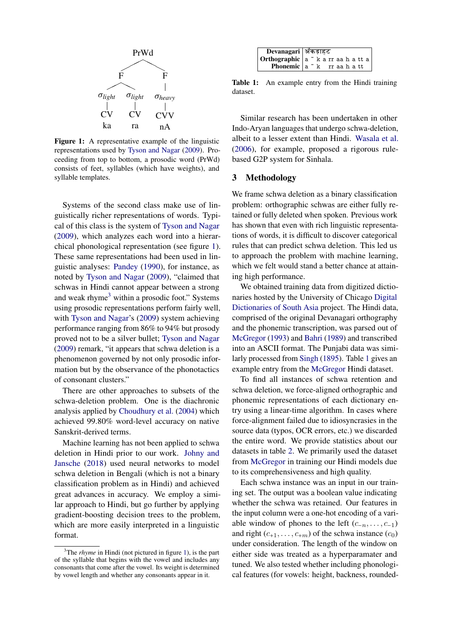<span id="page-1-0"></span>

**Figure 1:** A representative example of the linguistic  $\frac{a}{b}$ representations used by [Tyson and Nagar](#page-4-2) [\(2009\)](#page-4-2). Pro- $(20$ ceeding from top to bottom, a prosoure word  $(\text{H} \text{wa})$  based consists of feet, syllables (which have weights), and  $f(x)$  is increased (see Sect. 2 form  $f(x)$  for  $f(x)$  for  $f(x)$  for  $f(x)$  for  $f(x)$  for  $f(x)$   $\geq 3$ ceeding from top to bottom, a prosodic word (PrWd)

Systems of the second class make use of linguistically richer representations of words. Typi-<br>as indicates by the first syllable as indicated by the first system of the first system of the first system of the first system of the first system. cal of this class is the system of [Tyson and Nagar](#page-4-2) chical phonological representation (see figure [1\)](#page-1-0). These same representations had been used in lin-guistic analyses. Fandey (1990), for instance, as<br>noted by [Tyson and Nagar](#page-4-2) [\(2009\)](#page-4-2), "claimed that noted by Tyson and Nagar (2009), "claimed that<br>schwas in Hindi cannot appear between a strong and weak rhyme<sup>3</sup> within a prosodic foot." Systems using prosodic representations perform fairly well, with [Tyson and Nagar'](#page-4-2)s [\(2009\)](#page-4-2) system achieving guistic analyses: [Pandey](#page-4-3) [\(1990\)](#page-4-3), for instance, as proved not to be a silver bullet; [Tyson and Nagar](#page-4-2) Mc  $(2009)$  remark, "it appears that schwa deletion is a result phenomenon governed by not only prosodic infor-[\(2009\)](#page-4-2), which analyzes each word into a hierarperformance ranging from 86% to 94% but prosody mation but by the observance of the phonotactics of consonant clusters."

There are other approaches to subsets of the sch schwa-deletion problem. One is the diachronic photography analysis applied by [Choudhury et al.](#page-3-1) [\(2004\)](#page-3-1) which achieved 99.80% word-level accuracy on native Sanskrit-derived terms.

> Machine learning has not been applied to schwa deletion in Hindi prior to our work. [Johny and](#page-4-4) [Jansche](#page-4-4) [\(2018\)](#page-4-4) used neural networks to model schwa deletion in Bengali (which is not a binary classification problem as in Hindi) and achieved great advances in accuracy. We employ a similar approach to Hindi, but go further by applying gradient-boosting decision trees to the problem, which are more easily interpreted in a linguistic format.

<span id="page-1-2"></span>

| Devanagari   अँकड़ाहट |                                                    |  |  |  |  |
|-----------------------|----------------------------------------------------|--|--|--|--|
|                       | $ \text{Orthographic} $ a ~ k a rr aa h a tt a $ $ |  |  |  |  |
|                       | Phonemic a "k rr aahatt                            |  |  |  |  |

Table 1: An example entry from the Hindi training dataset.

Similar research has been undertaken in other Indo-Aryan languages that undergo schwa-deletion, albeit to a lesser extent than Hindi. [Wasala et al.](#page-4-5) [\(2006\)](#page-4-5), for example, proposed a rigorous rulebased G2P system for Sinhala.

## 3 Methodology

 $f^*$  since the between sylves  $\mathcal{W}$ We frame schwa deletion as a binary classification problem: orthographic schwas are either fully retained or fully deleted when spoken. Previous work has shown that even with rich linguistic representations of words, it is difficult to discover categorical rules that can predict schwa deletion. This led us to approach the problem with machine learning, which we felt would stand a better chance at attaining high performance.

> We obtained training data from digitized dictionaries hosted by the University of Chicago [Digital](https://dsalsrv04.uchicago.edu/dictionaries/) [Dictionaries of South Asia](https://dsalsrv04.uchicago.edu/dictionaries/) project. The Hindi data, comprised of the original Devanagari orthography and the phonemic transcription, was parsed out of [McGregor](#page-4-6) [\(1993\)](#page-4-6) and [Bahri](#page-3-2) [\(1989\)](#page-3-2) and transcribed into an ASCII format. The Punjabi data was similarly processed from [Singh](#page-4-7) [\(1895\)](#page-4-7). Table [1](#page-1-2) gives an example entry from the [McGregor](#page-4-6) Hindi dataset.

> To find all instances of schwa retention and schwa deletion, we force-aligned orthographic and phonemic representations of each dictionary entry using a linear-time algorithm. In cases where force-alignment failed due to idiosyncrasies in the source data (typos, OCR errors, etc.) we discarded the entire word. We provide statistics about our datasets in table [2.](#page-2-0) We primarily used the dataset from [McGregor](#page-4-6) in training our Hindi models due to its comprehensiveness and high quality.

> Each schwa instance was an input in our training set. The output was a boolean value indicating whether the schwa was retained. Our features in the input column were a one-hot encoding of a variable window of phones to the left  $(c_{-n}, \ldots, c_{-1})$ and right  $(c_{+1}, \ldots, c_{+m})$  of the schwa instance  $(c_0)$ under consideration. The length of the window on either side was treated as a hyperparamater and tuned. We also tested whether including phonological features (for vowels: height, backness, rounded-

<span id="page-1-1"></span><sup>&</sup>lt;sup>3</sup>The *rhyme* in Hindi (not pictured in figure [1\)](#page-1-0), is the part of the syllable that begins with the vowel and includes any consonants that come after the vowel. Its weight is determined by vowel length and whether any consonants appear in it.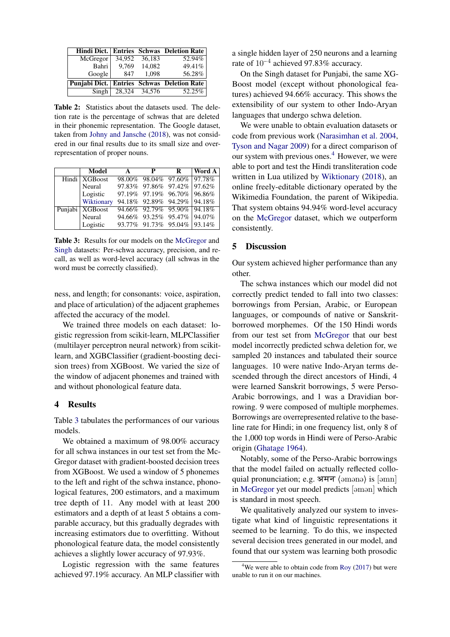<span id="page-2-0"></span>

|                                            |        |        | Hindi Dict. Entries Schwas Deletion Rate |
|--------------------------------------------|--------|--------|------------------------------------------|
| McGregor                                   | 34.952 | 36.183 | 52.94%                                   |
| Bahri                                      | 9,769  | 14,082 | 49.41%                                   |
| Google                                     | 847    | 1.098  | 56.28%                                   |
| Punjabi Dict. Entries Schwas Deletion Rate |        |        |                                          |
| Singh                                      | 28,324 | 34,576 | 52.25%                                   |

Table 2: Statistics about the datasets used. The deletion rate is the percentage of schwas that are deleted in their phonemic representation. The Google dataset, taken from [Johny and Jansche](#page-4-4) [\(2018\)](#page-4-4), was not considered in our final results due to its small size and overrepresentation of proper nouns.

<span id="page-2-1"></span>

| <b>Model</b>      | $\mathbf{A}$ | $\mathbf{P}$ | R                           | Word A |
|-------------------|--------------|--------------|-----------------------------|--------|
| Hindi   XGBoost   |              |              | 98.00% 98.04% 97.60% 97.78% |        |
| Neural            |              |              | 97.83% 97.86% 97.42% 97.62% |        |
| Logistic          |              |              | 97.19% 97.19% 96.70% 96.86% |        |
| Wiktionary        |              |              | 94.18% 92.89% 94.29% 94.18% |        |
| Punjabi   XGBoost |              |              | 94.66% 92.79% 95.90% 94.18% |        |
| Neural            |              |              | 94.66% 93.25% 95.47% 94.07% |        |
| Logistic          |              |              | 93.77% 91.73% 95.04% 93.14% |        |

Table 3: Results for our models on the [McGregor](#page-4-6) and [Singh](#page-4-7) datasets: Per-schwa accuracy, precision, and recall, as well as word-level accuracy (all schwas in the word must be correctly classified).

ness, and length; for consonants: voice, aspiration, and place of articulation) of the adjacent graphemes affected the accuracy of the model.

We trained three models on each dataset: logistic regression from scikit-learn, MLPClassifier (multilayer perceptron neural network) from scikitlearn, and XGBClassifier (gradient-boosting decision trees) from XGBoost. We varied the size of the window of adjacent phonemes and trained with and without phonological feature data.

## 4 Results

Table [3](#page-2-1) tabulates the performances of our various models.

We obtained a maximum of 98.00% accuracy for all schwa instances in our test set from the Mc-Gregor dataset with gradient-boosted decision trees from XGBoost. We used a window of 5 phonemes to the left and right of the schwa instance, phonological features, 200 estimators, and a maximum tree depth of 11. Any model with at least 200 estimators and a depth of at least 5 obtains a comparable accuracy, but this gradually degrades with increasing estimators due to overfitting. Without phonological feature data, the model consistently achieves a slightly lower accuracy of 97.93%.

Logistic regression with the same features achieved 97.19% accuracy. An MLP classifier with a single hidden layer of 250 neurons and a learning rate of 10−<sup>4</sup> achieved 97.83% accuracy.

On the Singh dataset for Punjabi, the same XG-Boost model (except without phonological features) achieved 94.66% accuracy. This shows the extensibility of our system to other Indo-Aryan languages that undergo schwa deletion.

We were unable to obtain evaluation datasets or code from previous work [\(Narasimhan et al.](#page-4-1) [2004,](#page-4-1) [Tyson and Nagar](#page-4-2) [2009\)](#page-4-2) for a direct comparison of our system with previous ones.<sup>[4](#page-2-2)</sup> However, we were able to port and test the Hindi transliteration code written in Lua utilized by [Wiktionary](#page-4-8) [\(2018\)](#page-4-8), an online freely-editable dictionary operated by the Wikimedia Foundation, the parent of Wikipedia. That system obtains 94.94% word-level accuracy on the [McGregor](#page-4-6) dataset, which we outperform consistently.

## 5 Discussion

Our system achieved higher performance than any other.

The schwa instances which our model did not correctly predict tended to fall into two classes: borrowings from Persian, Arabic, or European languages, or compounds of native or Sanskritborrowed morphemes. Of the 150 Hindi words from our test set from [McGregor](#page-4-6) that our best model incorrectly predicted schwa deletion for, we sampled 20 instances and tabulated their source languages. 10 were native Indo-Aryan terms descended through the direct ancestors of Hindi, 4 were learned Sanskrit borrowings, 5 were Perso-Arabic borrowings, and 1 was a Dravidian borrowing. 9 were composed of multiple morphemes. Borrowings are overrepresented relative to the baseline rate for Hindi; in one frequency list, only 8 of the 1,000 top words in Hindi were of Perso-Arabic origin [\(Ghatage](#page-3-3) [1964\)](#page-3-3).

Notably, some of the Perso-Arabic borrowings that the model failed on actually reflected colloquial pronunciation; e.g. अमन (amana) is [amn] in [McGregor](#page-4-6) yet our model predicts [aman] which is standard in most speech.

We qualitatively analyzed our system to investigate what kind of linguistic representations it seemed to be learning. To do this, we inspected several decision trees generated in our model, and found that our system was learning both prosodic

<span id="page-2-2"></span><sup>&</sup>lt;sup>4</sup>We were able to obtain code from [Roy](#page-4-9) [\(2017\)](#page-4-9) but were unable to run it on our machines.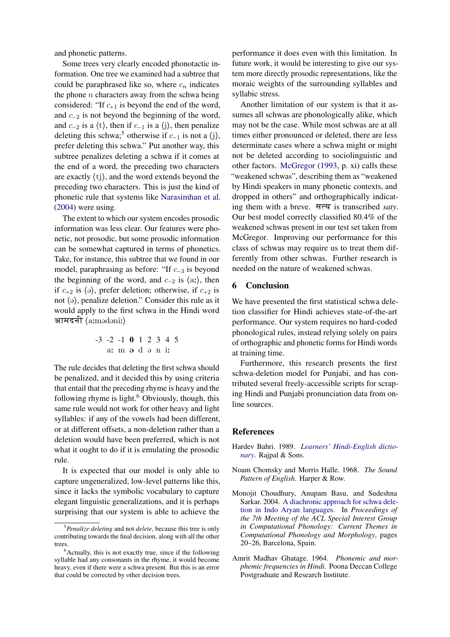and phonetic patterns.

Some trees very clearly encoded phonotactic information. One tree we examined had a subtree that could be paraphrased like so, where  $c_n$  indicates the phone  $n$  characters away from the schwa being considered: "If  $c_{+1}$  is beyond the end of the word, and c−<sup>2</sup> is not beyond the beginning of the word, and  $c_{-2}$  is a  $\langle t \rangle$ , then if  $c_{-1}$  is a  $\langle j \rangle$ , then penalize deleting this schwa;<sup>[5](#page-3-4)</sup> otherwise if  $c_{-1}$  is not a  $\langle j \rangle$ , prefer deleting this schwa." Put another way, this subtree penalizes deleting a schwa if it comes at the end of a word, the preceding two characters are exactly ⟨tj⟩, and the word extends beyond the preceding two characters. This is just the kind of phonetic rule that systems like [Narasimhan et al.](#page-4-1) [\(2004\)](#page-4-1) were using.

The extent to which our system encodes prosodic information was less clear. Our features were phonetic, not prosodic, but some prosodic information can be somewhat captured in terms of phonetics. Take, for instance, this subtree that we found in our model, paraphrasing as before: "If c−<sup>3</sup> is beyond the beginning of the word, and  $c_{-2}$  is  $\langle \text{a}: \rangle$ , then if  $c_{+2}$  is  $\langle \theta \rangle$ , prefer deletion; otherwise, if  $c_{+2}$  is not  $\langle \theta \rangle$ , penalize deletion." Consider this rule as it would apply to the first schwa in the Hindi word आमदनी (aːmədəniː)

$$
-3 -2 -1 0 1 2 3 4 5
$$

The rule decides that deleting the first schwa should be penalized, and it decided this by using criteria that entail that the preceding rhyme is heavy and the following rhyme is light. $6$  Obviously, though, this same rule would not work for other heavy and light syllables: if any of the vowels had been different, or at different offsets, a non-deletion rather than a deletion would have been preferred, which is not what it ought to do if it is emulating the prosodic rule.

It is expected that our model is only able to capture ungeneralized, low-level patterns like this, since it lacks the symbolic vocabulary to capture elegant linguistic generalizations, and it is perhaps surprising that our system is able to achieve the

performance it does even with this limitation. In future work, it would be interesting to give our system more directly prosodic representations, like the moraic weights of the surrounding syllables and syllabic stress.

Another limitation of our system is that it assumes all schwas are phonologically alike, which may not be the case. While most schwas are at all times either pronounced or deleted, there are less determinate cases where a schwa might or might not be deleted according to sociolinguistic and other factors. [McGregor](#page-4-6) [\(1993,](#page-4-6) p. xi) calls these "weakened schwas", describing them as "weakened by Hindi speakers in many phonetic contexts, and dropped in others" and orthographically indicating them with a breve. सत्य is transcribed *saty*. Our best model correctly classified 80.4% of the weakened schwas present in our test set taken from McGregor. Improving our performance for this class of schwas may require us to treat them differently from other schwas. Further research is needed on the nature of weakened schwas.

## 6 Conclusion

We have presented the first statistical schwa deletion classifier for Hindi achieves state-of-the-art performance. Our system requires no hard-coded phonological rules, instead relying solely on pairs of orthographic and phonetic forms for Hindi words at training time.

Furthermore, this research presents the first schwa-deletion model for Punjabi, and has contributed several freely-accessible scripts for scraping Hindi and Punjabi pronunciation data from online sources.

## References

- <span id="page-3-2"></span>Hardev Bahri. 1989. *[Learners' Hindi-English dictio](https://dsalsrv04.uchicago.edu/dictionaries/bahri/)[nary](https://dsalsrv04.uchicago.edu/dictionaries/bahri/)*. Rajpal & Sons.
- <span id="page-3-0"></span>Noam Chomsky and Morris Halle. 1968. *The Sound Pattern of English*. Harper & Row.
- <span id="page-3-1"></span>Monojit Choudhury, Anupam Basu, and Sudeshna Sarkar. 2004. [A diachronic approach for schwa dele](https://www.aclweb.org/anthology/W04-0103)[tion in Indo Aryan languages.](https://www.aclweb.org/anthology/W04-0103) In *Proceedings of the 7th Meeting of the ACL Special Interest Group in Computational Phonology: Current Themes in Computational Phonology and Morphology*, pages 20–26, Barcelona, Spain.
- <span id="page-3-3"></span>Amrit Madhav Ghatage. 1964. *Phonemic and morphemic frequencies in Hindi.* Poona Deccan College Postgraduate and Research Institute.

<span id="page-3-4"></span><sup>5</sup>*Penalize deleting* and not *delete*, because this tree is only contributing towards the final decision, along with all the other trees.

<span id="page-3-5"></span> $6$ Actually, this is not exactly true, since if the following syllable had any consonants in the rhyme, it would become heavy, even if there were a schwa present. But this is an error that could be corrected by other decision trees.